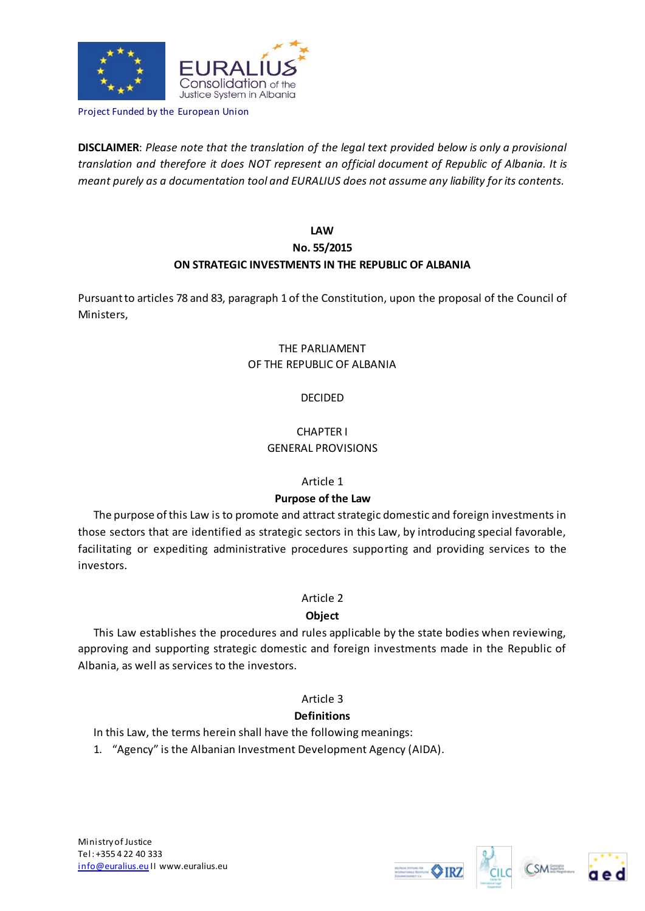

Project Funded by the European Union

**DISCLAIMER**: *Please note that the translation of the legal text provided below is only a provisional translation and therefore it does NOT represent an official document of Republic of Albania. It is meant purely as a documentation tool and EURALIUS does not assume any liability for its contents.*

# **LAW No. 55/2015 ON STRATEGIC INVESTMENTS IN THE REPUBLIC OF ALBANIA**

Pursuant to articles 78 and 83, paragraph 1 of the Constitution, upon the proposal of the Council of Ministers,

# THE PARLIAMENT OF THE REPUBLIC OF ALBANIA

# DECIDED

# CHAPTER I GENERAL PROVISIONS

## Article 1

# **Purpose of the Law**

The purpose of this Law is to promote and attract strategic domestic and foreign investments in those sectors that are identified as strategic sectors in this Law, by introducing special favorable, facilitating or expediting administrative procedures supporting and providing services to the investors.

# Article 2

# **Object**

This Law establishes the procedures and rules applicable by the state bodies when reviewing, approving and supporting strategic domestic and foreign investments made in the Republic of Albania, as well as services to the investors.

# Article 3

# **Definitions**

In this Law, the terms herein shall have the following meanings:

1. "Agency" is the Albanian Investment Development Agency (AIDA).



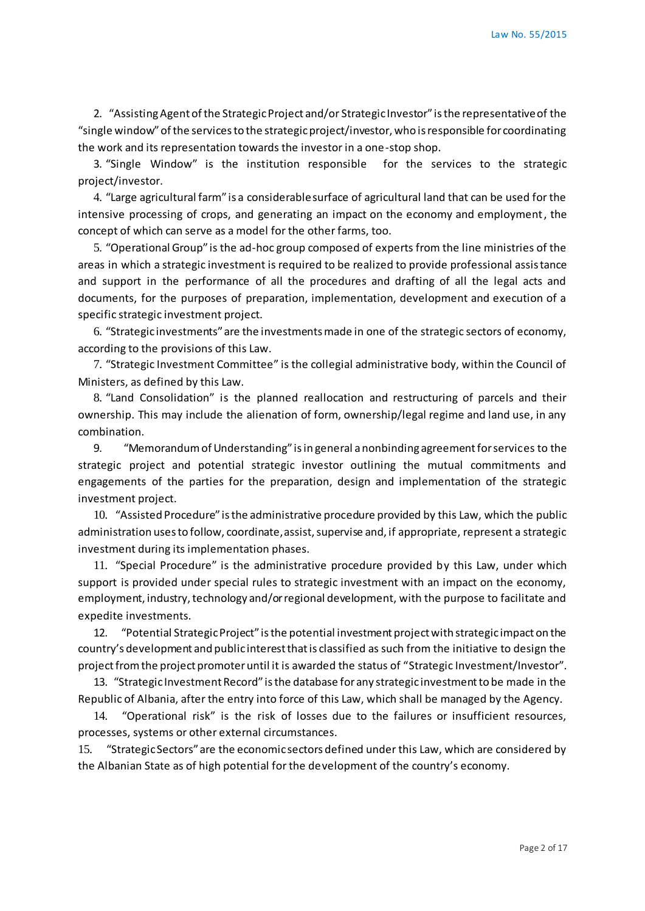2. "Assisting Agent of the Strategic Project and/or Strategic Investor" is the representative of the "single window" of the services to the strategic project/investor, who is responsible for coordinating the work and its representation towards the investor in a one-stop shop.

3. "Single Window" is the institution responsible for the services to the strategic project/investor.

4. "Large agricultural farm" is a considerable surface of agricultural land that can be used for the intensive processing of crops, and generating an impact on the economy and employment, the concept of which can serve as a model for the other farms, too.

5. "Operational Group" is the ad-hoc group composed of experts from the line ministries of the areas in which a strategic investment is required to be realized to provide professional assistance and support in the performance of all the procedures and drafting of all the legal acts and documents, for the purposes of preparation, implementation, development and execution of a specific strategic investment project.

6. "Strategic investments" are the investments made in one of the strategic sectors of economy, according to the provisions of this Law.

7. "Strategic Investment Committee" is the collegial administrative body, within the Council of Ministers, as defined by this Law.

8. "Land Consolidation" is the planned reallocation and restructuring of parcels and their ownership. This may include the alienation of form, ownership/legal regime and land use, in any combination.

9. "Memorandum of Understanding" is in general a nonbinding agreement for services to the strategic project and potential strategic investor outlining the mutual commitments and engagements of the parties for the preparation, design and implementation of the strategic investment project.

10. "Assisted Procedure" is the administrative procedure provided by this Law, which the public administration uses to follow, coordinate, assist, supervise and, if appropriate, represent a strategic investment during its implementation phases.

11. "Special Procedure" is the administrative procedure provided by this Law, under which support is provided under special rules to strategic investment with an impact on the economy, employment, industry, technology and/or regional development, with the purpose to facilitate and expedite investments.

12. "Potential Strategic Project" is the potential investment project with strategic impact on the country's development and public interest that is classified as such from the initiative to design the project from the project promoter until it is awarded the status of "Strategic Investment/Investor".

13. "Strategic Investment Record" is the database for any strategic investment to be made in the Republic of Albania, after the entry into force of this Law, which shall be managed by the Agency.

14. "Operational risk" is the risk of losses due to the failures or insufficient resources, processes, systems or other external circumstances.

15. "Strategic Sectors" are the economic sectors defined under this Law, which are considered by the Albanian State as of high potential for the development of the country's economy.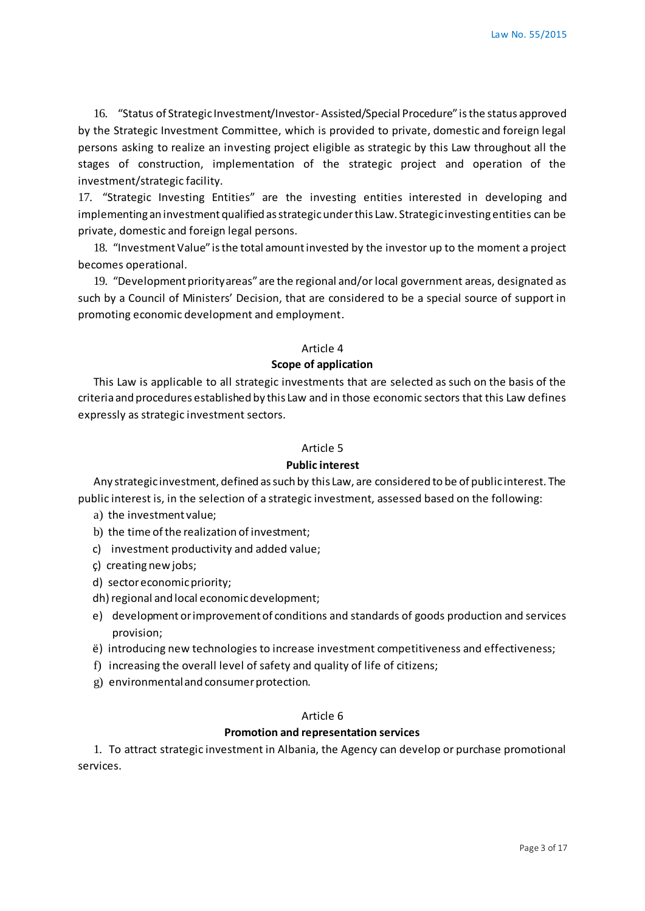16. "Status of Strategic Investment/Investor- Assisted/Special Procedure" is the status approved by the Strategic Investment Committee, which is provided to private, domestic and foreign legal persons asking to realize an investing project eligible as strategic by this Law throughout all the stages of construction, implementation of the strategic project and operation of the investment/strategic facility.

17. "Strategic Investing Entities" are the investing entities interested in developing and implementing an investment qualified as strategic under this Law. Strategic investing entities can be private, domestic and foreign legal persons.

18. "Investment Value" is the total amount invested by the investor up to the moment a project becomes operational.

19. "Development priority areas" are the regional and/or local government areas, designated as such by a Council of Ministers' Decision, that are considered to be a special source of support in promoting economic development and employment.

## Article 4

## **Scope of application**

This Law is applicable to all strategic investments that are selected as such on the basis of the criteria and procedures established by this Law and in those economic sectors that this Law defines expressly as strategic investment sectors.

## Article 5

#### **Public interest**

Any strategic investment, defined as such by this Law, are considered to be of public interest. The public interest is, in the selection of a strategic investment, assessed based on the following:

- a) the investment value;
- b) the time of the realization of investment;
- c) investment productivity and added value;
- ç) creating new jobs;
- d) sector economic priority;
- dh) regional and local economic development;
- e) development or improvement of conditions and standards of goods production and services provision;
- ë) introducing new technologies to increase investment competitiveness and effectiveness;
- f) increasing the overall level of safety and quality of life of citizens;
- g) environmental and consumer protection.

#### Article 6

## **Promotion and representation services**

1. To attract strategic investment in Albania, the Agency can develop or purchase promotional services.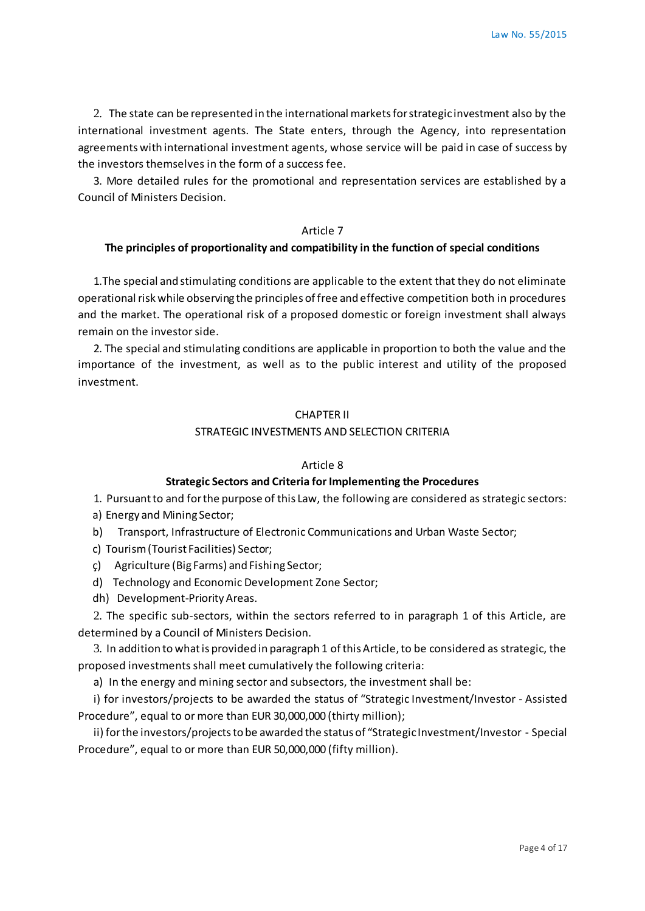2. The state can be represented in the international markets for strategic investment also by the international investment agents. The State enters, through the Agency, into representation agreements with international investment agents, whose service will be paid in case of success by the investors themselves in the form of a success fee.

3. More detailed rules for the promotional and representation services are established by a Council of Ministers Decision.

## Article 7

### **The principles of proportionality and compatibility in the function of special conditions**

1.The special and stimulating conditions are applicable to the extent that they do not eliminate operational risk while observing the principles of free and effective competition both in procedures and the market. The operational risk of a proposed domestic or foreign investment shall always remain on the investor side.

2. The special and stimulating conditions are applicable in proportion to both the value and the importance of the investment, as well as to the public interest and utility of the proposed investment.

#### CHAPTER II

## STRATEGIC INVESTMENTS AND SELECTION CRITERIA

#### Article 8

#### **Strategic Sectors and Criteria for Implementing the Procedures**

1. Pursuant to and for the purpose of this Law, the following are considered as strategic sectors:

- a) Energy and Mining Sector;
- b) Transport, Infrastructure of Electronic Communications and Urban Waste Sector;
- c) Tourism (Tourist Facilities) Sector;
- ç) Agriculture (Big Farms) and Fishing Sector;
- d) Technology and Economic Development Zone Sector;
- dh) Development-Priority Areas.

2. The specific sub-sectors, within the sectors referred to in paragraph 1 of this Article, are determined by a Council of Ministers Decision.

3. In addition to what is provided in paragraph 1 of this Article, to be considered as strategic, the proposed investments shall meet cumulatively the following criteria:

a) In the energy and mining sector and subsectors, the investment shall be:

i) for investors/projects to be awarded the status of "Strategic Investment/Investor - Assisted Procedure", equal to or more than EUR 30,000,000 (thirty million);

ii) for the investors/projects to be awarded the status of "Strategic Investment/Investor - Special Procedure", equal to or more than EUR 50,000,000 (fifty million).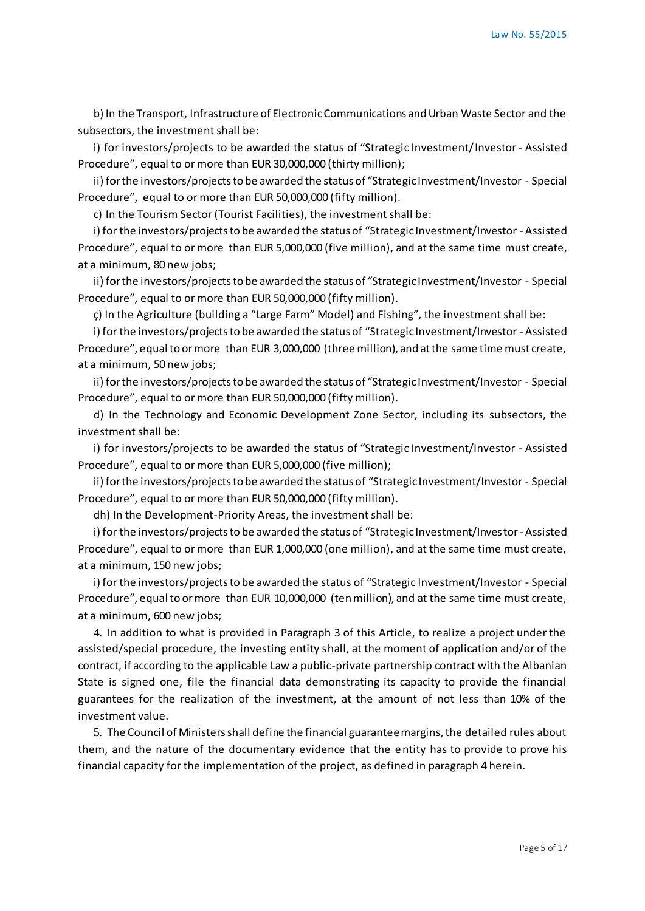b) In the Transport, Infrastructure of Electronic Communications and Urban Waste Sector and the subsectors, the investment shall be:

i) for investors/projects to be awarded the status of "Strategic Investment/Investor - Assisted Procedure", equal to or more than EUR 30,000,000 (thirty million);

ii) for the investors/projects to be awarded the status of "Strategic Investment/Investor - Special Procedure", equal to or more than EUR 50,000,000 (fifty million).

c) In the Tourism Sector (Tourist Facilities), the investment shall be:

i) for the investors/projects to be awarded the status of "Strategic Investment/Investor - Assisted Procedure", equal to or more than EUR 5,000,000 (five million), and at the same time must create, at a minimum, 80 new jobs;

ii) for the investors/projects to be awarded the status of "Strategic Investment/Investor - Special Procedure", equal to or more than EUR 50,000,000 (fifty million).

ç) In the Agriculture (building a "Large Farm" Model) and Fishing", the investment shall be:

i) for the investors/projects to be awarded the status of "Strategic Investment/Investor - Assisted Procedure", equal to or more than EUR 3,000,000 (three million), and at the same time must create, at a minimum, 50 new jobs;

ii) for the investors/projects to be awarded the status of "Strategic Investment/Investor - Special Procedure", equal to or more than EUR 50,000,000 (fifty million).

d) In the Technology and Economic Development Zone Sector, including its subsectors, the investment shall be:

i) for investors/projects to be awarded the status of "Strategic Investment/Investor - Assisted Procedure", equal to or more than EUR 5,000,000 (five million);

ii) for the investors/projects to be awarded the status of "Strategic Investment/Investor - Special Procedure", equal to or more than EUR 50,000,000 (fifty million).

dh) In the Development-Priority Areas, the investment shall be:

i) for the investors/projects to be awarded the status of "Strategic Investment/Investor - Assisted Procedure", equal to or more than EUR 1,000,000 (one million), and at the same time must create, at a minimum, 150 new jobs;

i) for the investors/projects to be awarded the status of "Strategic Investment/Investor - Special Procedure", equal to or more than EUR 10,000,000 (ten million), and at the same time must create, at a minimum, 600 new jobs;

4. In addition to what is provided in Paragraph 3 of this Article, to realize a project under the assisted/special procedure, the investing entity shall, at the moment of application and/or of the contract, if according to the applicable Law a public-private partnership contract with the Albanian State is signed one, file the financial data demonstrating its capacity to provide the financial guarantees for the realization of the investment, at the amount of not less than 10% of the investment value.

5. The Council of Ministers shall define the financial guarantee margins, the detailed rules about them, and the nature of the documentary evidence that the entity has to provide to prove his financial capacity for the implementation of the project, as defined in paragraph 4 herein.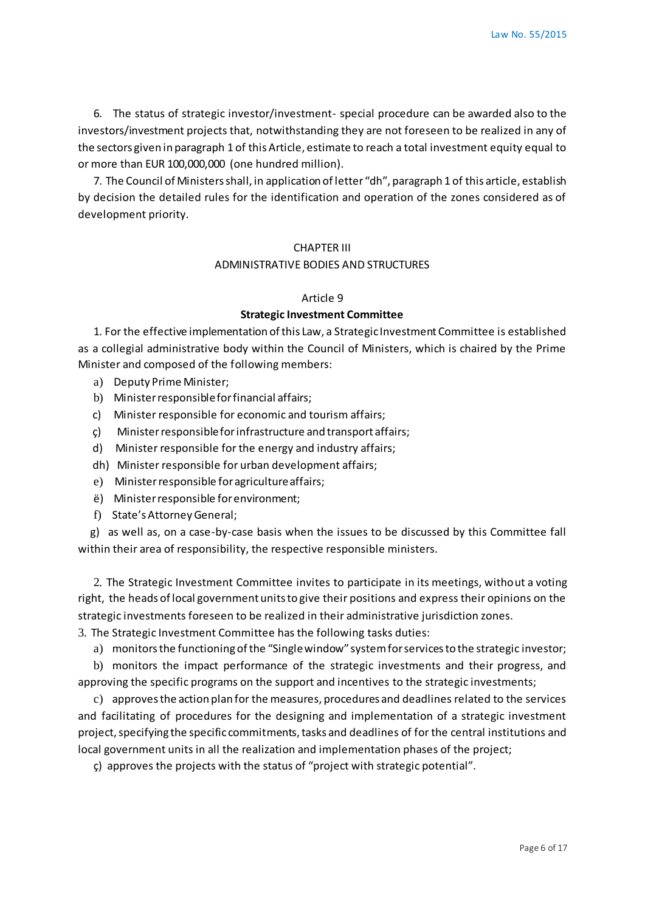6. The status of strategic investor/investment- special procedure can be awarded also to the investors/investment projects that, notwithstanding they are not foreseen to be realized in any of the sectors given in paragraph 1 of this Article, estimate to reach a total investment equity equal to or more than EUR 100,000,000 (one hundred million).

7. The Council of Ministers shall, in application of letter "dh", paragraph 1 of this article, establish by decision the detailed rules for the identification and operation of the zones considered as of development priority.

### CHAPTER III

#### ADMINISTRATIVE BODIES AND STRUCTURES

#### Article 9

#### **Strategic Investment Committee**

1. For the effective implementation of this Law, a Strategic Investment Committee is established as a collegial administrative body within the Council of Ministers, which is chaired by the Prime Minister and composed of the following members:

- a) Deputy Prime Minister;
- b) Minister responsible for financial affairs;
- c) Minister responsible for economic and tourism affairs;
- ç) Minister responsible for infrastructure and transport affairs;
- d) Minister responsible for the energy and industry affairs;
- dh) Minister responsible for urban development affairs;
- e) Minister responsible for agriculture affairs;
- ë) Minister responsible for environment;
- f) State's Attorney General;

 g) as well as, on a case-by-case basis when the issues to be discussed by this Committee fall within their area of responsibility, the respective responsible ministers.

2. The Strategic Investment Committee invites to participate in its meetings, without a voting right, the heads of local government units to give their positions and express their opinions on the strategic investments foreseen to be realized in their administrative jurisdiction zones.

3. The Strategic Investment Committee has the following tasks duties:

a) monitors the functioning of the "Single window" system for services to the strategic investor;

b) monitors the impact performance of the strategic investments and their progress, and approving the specific programs on the support and incentives to the strategic investments;

c) approves the action plan for the measures, procedures and deadlines related to the services and facilitating of procedures for the designing and implementation of a strategic investment project, specifying the specific commitments, tasks and deadlines of for the central institutions and local government units in all the realization and implementation phases of the project;

ç) approves the projects with the status of "project with strategic potential".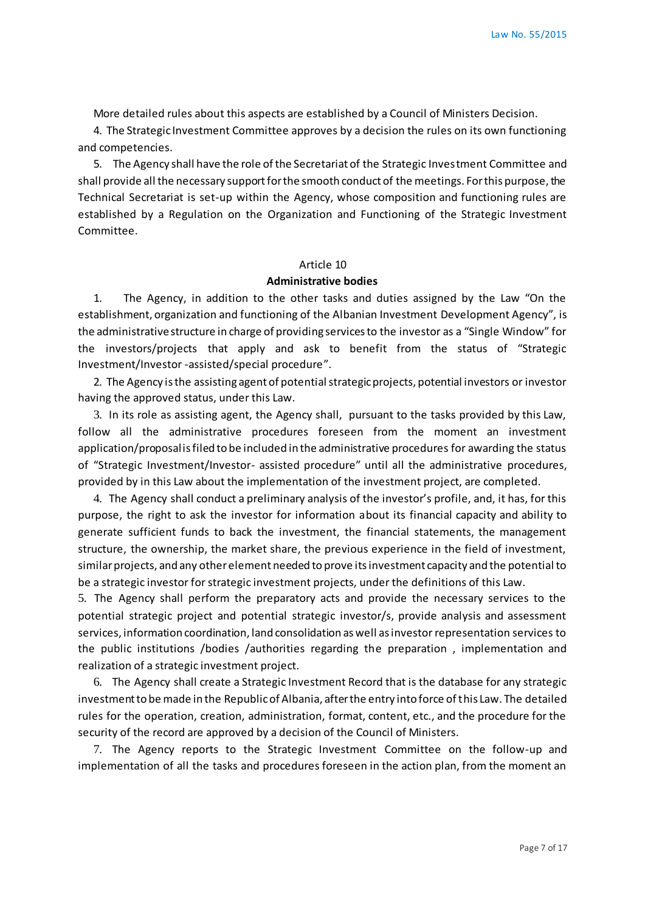More detailed rules about this aspects are established by a Council of Ministers Decision.

4. The Strategic Investment Committee approves by a decision the rules on its own functioning and competencies.

5. The Agency shall have the role of the Secretariat of the Strategic Investment Committee and shall provide all the necessary support for the smooth conduct of the meetings. For this purpose, the Technical Secretariat is set-up within the Agency, whose composition and functioning rules are established by a Regulation on the Organization and Functioning of the Strategic Investment Committee.

#### Article 10

## **Administrative bodies**

1. The Agency, in addition to the other tasks and duties assigned by the Law "On the establishment, organization and functioning of the Albanian Investment Development Agency", is the administrative structure in charge of providing services to the investor as a "Single Window" for the investors/projects that apply and ask to benefit from the status of "Strategic Investment/Investor -assisted/special procedure".

2. The Agency is the assisting agent of potential strategic projects, potential investors or investor having the approved status, under this Law.

3. In its role as assisting agent, the Agency shall, pursuant to the tasks provided by this Law, follow all the administrative procedures foreseen from the moment an investment application/proposal is filed to be included in the administrative procedures for awarding the status of "Strategic Investment/Investor- assisted procedure" until all the administrative procedures, provided by in this Law about the implementation of the investment project, are completed.

4. The Agency shall conduct a preliminary analysis of the investor's profile, and, it has, for this purpose, the right to ask the investor for information about its financial capacity and ability to generate sufficient funds to back the investment, the financial statements, the management structure, the ownership, the market share, the previous experience in the field of investment, similar projects, and any other element needed to prove its investment capacity and the potential to be a strategic investor for strategic investment projects, under the definitions of this Law.

5. The Agency shall perform the preparatory acts and provide the necessary services to the potential strategic project and potential strategic investor/s, provide analysis and assessment services, information coordination, land consolidation as well as investor representation services to the public institutions /bodies /authorities regarding the preparation , implementation and realization of a strategic investment project.

6. The Agency shall create a Strategic Investment Record that is the database for any strategic investment to be made in the Republic of Albania, after the entry into force of this Law. The detailed rules for the operation, creation, administration, format, content, etc., and the procedure for the security of the record are approved by a decision of the Council of Ministers.

7. The Agency reports to the Strategic Investment Committee on the follow-up and implementation of all the tasks and procedures foreseen in the action plan, from the moment an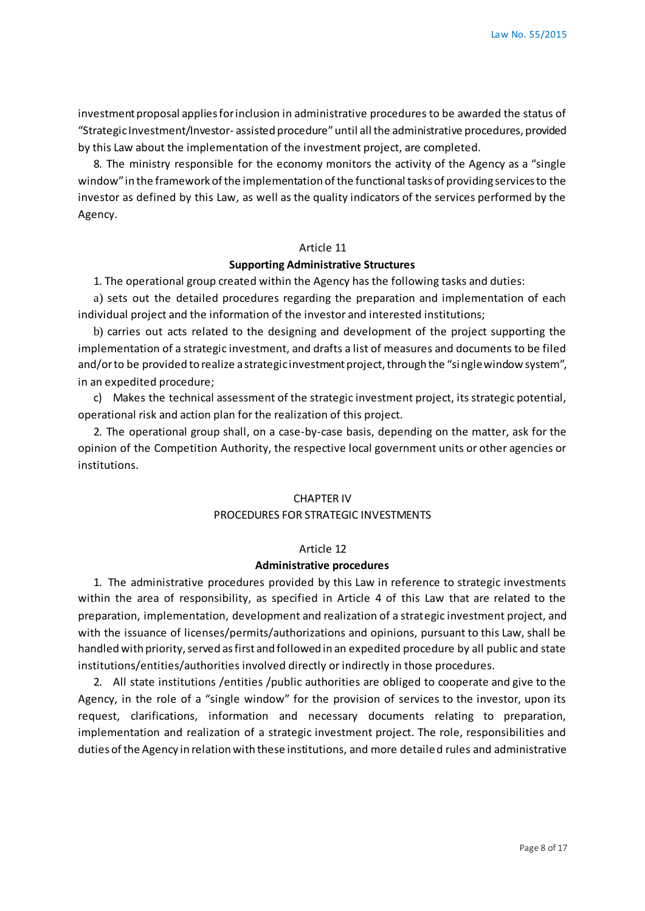investment proposal applies for inclusion in administrative procedures to be awarded the status of "Strategic Investment/Investor- assisted procedure" until all the administrative procedures, provided by this Law about the implementation of the investment project, are completed.

8. The ministry responsible for the economy monitors the activity of the Agency as a "single window" in the framework of the implementation of the functional tasks of providing services to the investor as defined by this Law, as well as the quality indicators of the services performed by the Agency.

#### Article 11

### **Supporting Administrative Structures**

1. The operational group created within the Agency has the following tasks and duties:

a) sets out the detailed procedures regarding the preparation and implementation of each individual project and the information of the investor and interested institutions;

b) carries out acts related to the designing and development of the project supporting the implementation of a strategic investment, and drafts a list of measures and documents to be filed and/or to be provided to realize a strategic investment project, through the "single window system", in an expedited procedure;

c) Makes the technical assessment of the strategic investment project, its strategic potential, operational risk and action plan for the realization of this project.

2. The operational group shall, on a case-by-case basis, depending on the matter, ask for the opinion of the Competition Authority, the respective local government units or other agencies or institutions.

## CHAPTER IV PROCEDURES FOR STRATEGIC INVESTMENTS

#### Article 12

#### **Administrative procedures**

1. The administrative procedures provided by this Law in reference to strategic investments within the area of responsibility, as specified in Article 4 of this Law that are related to the preparation, implementation, development and realization of a strategic investment project, and with the issuance of licenses/permits/authorizations and opinions, pursuant to this Law, shall be handled with priority, served as first and followed in an expedited procedure by all public and state institutions/entities/authorities involved directly or indirectly in those procedures.

2. All state institutions /entities /public authorities are obliged to cooperate and give to the Agency, in the role of a "single window" for the provision of services to the investor, upon its request, clarifications, information and necessary documents relating to preparation, implementation and realization of a strategic investment project. The role, responsibilities and duties of the Agency in relation with these institutions, and more detailed rules and administrative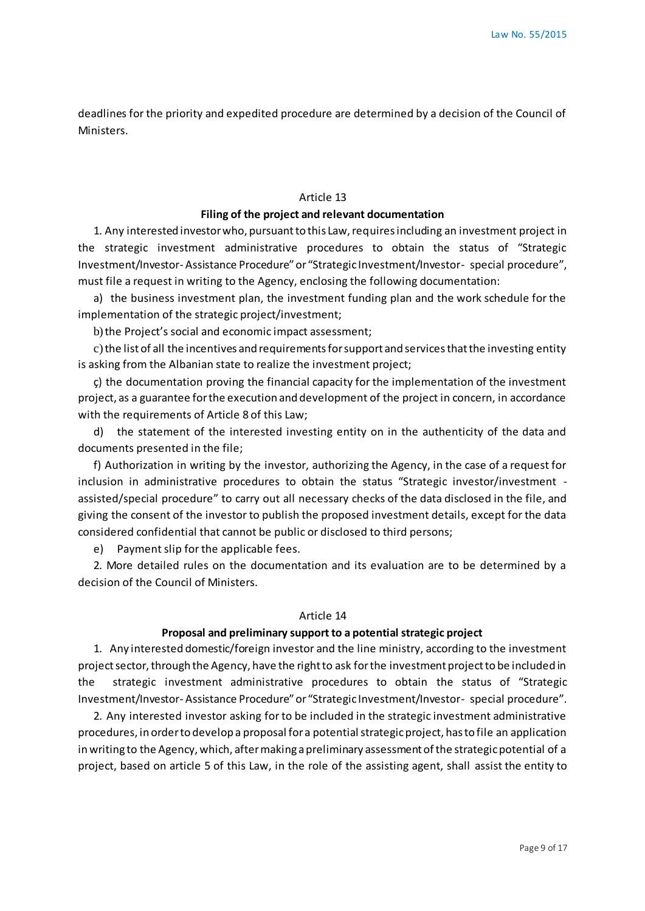deadlines for the priority and expedited procedure are determined by a decision of the Council of Ministers.

## Article 13

#### **Filing of the project and relevant documentation**

1. Any interested investor who, pursuant to this Law, requires including an investment project in the strategic investment administrative procedures to obtain the status of "Strategic Investment/Investor- Assistance Procedure" or "Strategic Investment/Investor- special procedure", must file a request in writing to the Agency, enclosing the following documentation:

a) the business investment plan, the investment funding plan and the work schedule for the implementation of the strategic project/investment;

b)the Project's social and economic impact assessment;

c) the list of all the incentives and requirements for support and services that the investing entity is asking from the Albanian state to realize the investment project;

ç) the documentation proving the financial capacity for the implementation of the investment project, as a guarantee for the execution and development of the project in concern, in accordance with the requirements of Article 8 of this Law;

d) the statement of the interested investing entity on in the authenticity of the data and documents presented in the file;

f) Authorization in writing by the investor, authorizing the Agency, in the case of a request for inclusion in administrative procedures to obtain the status "Strategic investor/investment assisted/special procedure" to carry out all necessary checks of the data disclosed in the file, and giving the consent of the investor to publish the proposed investment details, except for the data considered confidential that cannot be public or disclosed to third persons;

e) Payment slip for the applicable fees.

2. More detailed rules on the documentation and its evaluation are to be determined by a decision of the Council of Ministers.

### Article 14

## **Proposal and preliminary support to a potential strategic project**

1. Any interested domestic/foreign investor and the line ministry, according to the investment project sector, through the Agency, have the right to ask for the investment project to be included in the strategic investment administrative procedures to obtain the status of "Strategic Investment/Investor- Assistance Procedure" or "Strategic Investment/Investor- special procedure".

2. Any interested investor asking for to be included in the strategic investment administrative procedures, in order to develop a proposal for a potential strategic project, has to file an application in writing to the Agency, which, after making a preliminary assessment of the strategic potential of a project, based on article 5 of this Law, in the role of the assisting agent, shall assist the entity to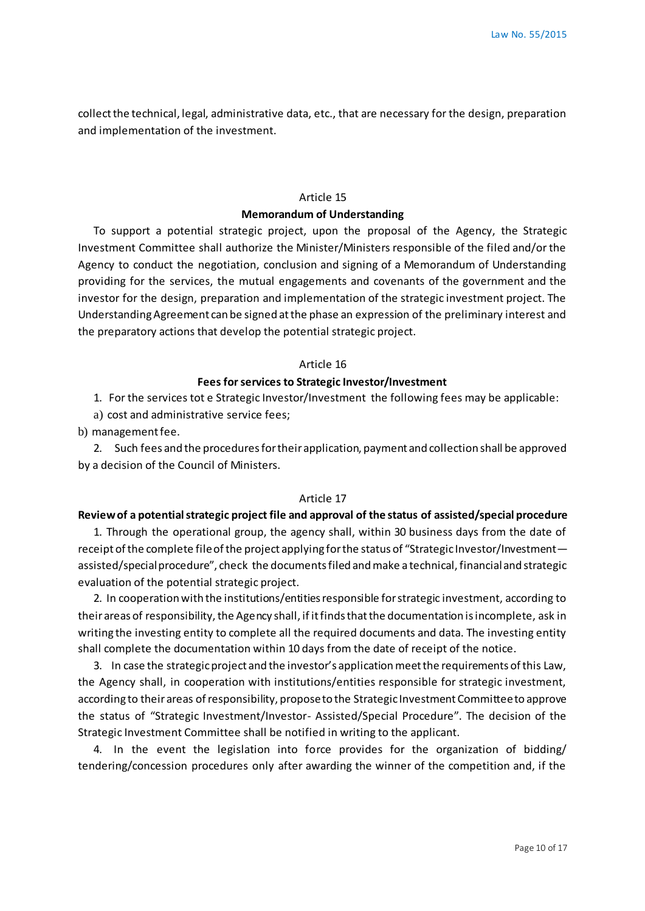collect the technical, legal, administrative data, etc., that are necessary for the design, preparation and implementation of the investment.

# Article 15 **Memorandum of Understanding**

To support a potential strategic project, upon the proposal of the Agency, the Strategic Investment Committee shall authorize the Minister/Ministers responsible of the filed and/or the Agency to conduct the negotiation, conclusion and signing of a Memorandum of Understanding providing for the services, the mutual engagements and covenants of the government and the investor for the design, preparation and implementation of the strategic investment project. The Understanding Agreement can be signed at the phase an expression of the preliminary interest and the preparatory actions that develop the potential strategic project.

## Article 16

### **Fees for services to Strategic Investor/Investment**

1. For the services tot e Strategic Investor/Investment the following fees may be applicable:

a) cost and administrative service fees;

b) management fee.

2. Such fees and the procedures for their application, payment and collection shall be approved by a decision of the Council of Ministers.

### Article 17

## **Review of a potential strategic project file and approval of the status of assisted/special procedure**

1. Through the operational group, the agency shall, within 30 business days from the date of receipt of the complete file of the project applying for the status of "Strategic Investor/Investment assisted/special procedure", check the documents filed and make a technical, financial and strategic evaluation of the potential strategic project.

2. In cooperation with the institutions/entities responsible for strategic investment, according to their areas of responsibility, the Agency shall, if it finds that the documentation is incomplete, ask in writing the investing entity to complete all the required documents and data. The investing entity shall complete the documentation within 10 days from the date of receipt of the notice.

3. In case the strategic project and the investor's application meet the requirements of this Law, the Agency shall, in cooperation with institutions/entities responsible for strategic investment, according to their areas of responsibility, propose to the Strategic Investment Committee to approve the status of "Strategic Investment/Investor- Assisted/Special Procedure". The decision of the Strategic Investment Committee shall be notified in writing to the applicant.

4. In the event the legislation into force provides for the organization of bidding/ tendering/concession procedures only after awarding the winner of the competition and, if the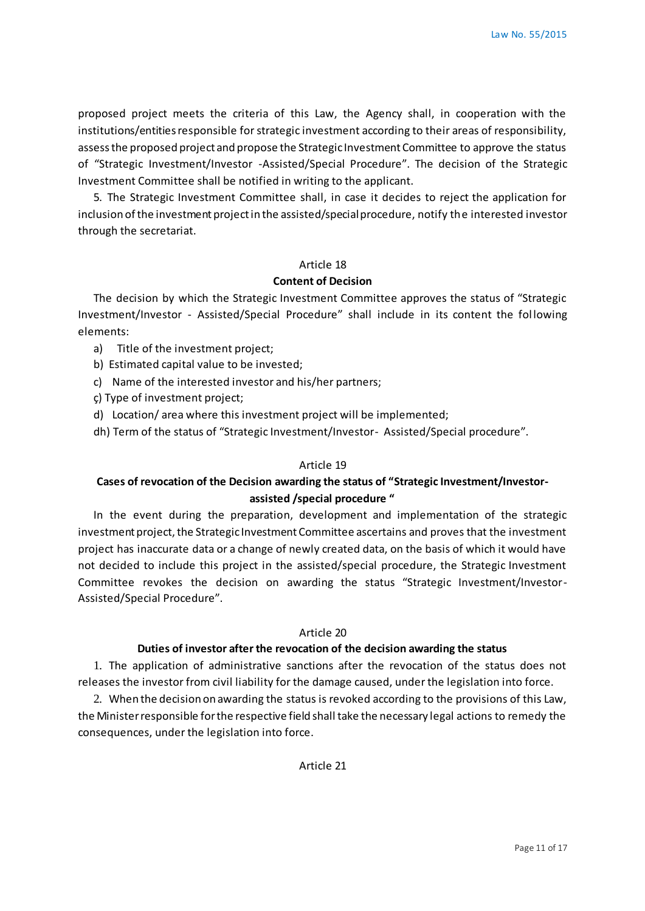proposed project meets the criteria of this Law, the Agency shall, in cooperation with the institutions/entities responsible for strategic investment according to their areas of responsibility, assess the proposed project and propose the Strategic Investment Committee to approve the status of "Strategic Investment/Investor -Assisted/Special Procedure". The decision of the Strategic Investment Committee shall be notified in writing to the applicant.

5. The Strategic Investment Committee shall, in case it decides to reject the application for inclusion of the investment project in the assisted/special procedure, notify the interested investor through the secretariat.

#### Article 18

## **Content of Decision**

The decision by which the Strategic Investment Committee approves the status of "Strategic Investment/Investor - Assisted/Special Procedure" shall include in its content the fol lowing elements:

- a) Title of the investment project;
- b) Estimated capital value to be invested;
- c) Name of the interested investor and his/her partners;
- ç) Type of investment project;
- d) Location/ area where this investment project will be implemented;
- dh) Term of the status of "Strategic Investment/Investor- Assisted/Special procedure".

## Article 19

# **Cases of revocation of the Decision awarding the status of "Strategic Investment/Investorassisted /special procedure "**

In the event during the preparation, development and implementation of the strategic investment project, the Strategic Investment Committee ascertains and proves that the investment project has inaccurate data or a change of newly created data, on the basis of which it would have not decided to include this project in the assisted/special procedure, the Strategic Investment Committee revokes the decision on awarding the status "Strategic Investment/Investor-Assisted/Special Procedure".

## Article 20

## **Duties of investor after the revocation of the decision awarding the status**

1. The application of administrative sanctions after the revocation of the status does not releases the investor from civil liability for the damage caused, under the legislation into force.

2. When the decision on awarding the status is revoked according to the provisions of this Law, the Minister responsible for the respective field shall take the necessary legal actions to remedy the consequences, under the legislation into force.

Article 21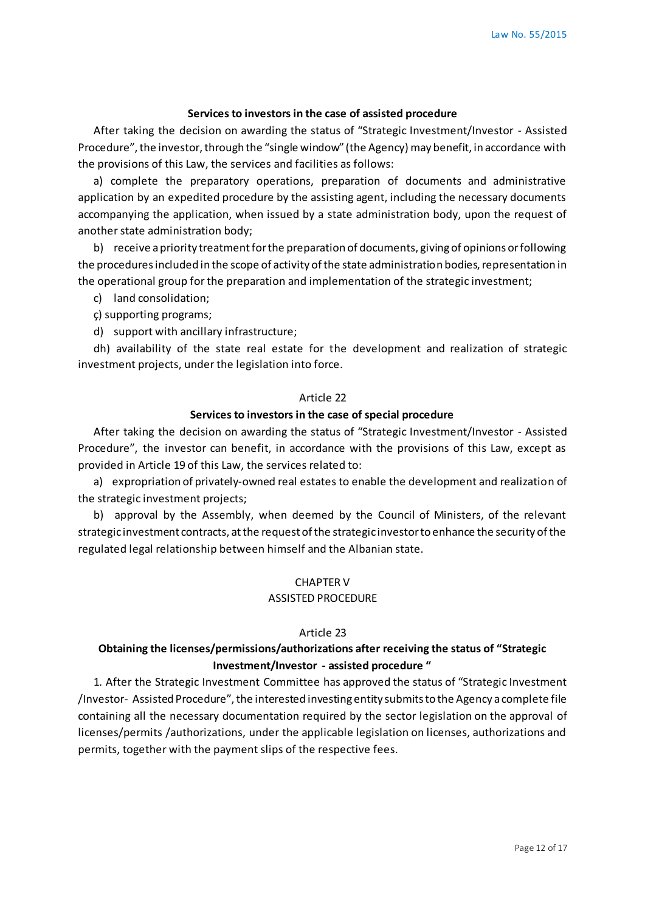#### **Services to investors in the case of assisted procedure**

After taking the decision on awarding the status of "Strategic Investment/Investor - Assisted Procedure", the investor, through the "single window" (the Agency) may benefit, in accordance with the provisions of this Law, the services and facilities as follows:

a) complete the preparatory operations, preparation of documents and administrative application by an expedited procedure by the assisting agent, including the necessary documents accompanying the application, when issued by a state administration body, upon the request of another state administration body;

b) receive a priority treatment for the preparation of documents, giving of opinions or following the procedures included in the scope of activity of the state administration bodies, representation in the operational group for the preparation and implementation of the strategic investment;

c) land consolidation;

- ç) supporting programs;
- d) support with ancillary infrastructure;

dh) availability of the state real estate for the development and realization of strategic investment projects, under the legislation into force.

#### Article 22

### **Services to investors in the case of special procedure**

After taking the decision on awarding the status of "Strategic Investment/Investor - Assisted Procedure", the investor can benefit, in accordance with the provisions of this Law, except as provided in Article 19 of this Law, the services related to:

a) expropriation of privately-owned real estates to enable the development and realization of the strategic investment projects;

b) approval by the Assembly, when deemed by the Council of Ministers, of the relevant strategic investment contracts, at the request of the strategic investor to enhance the security of the regulated legal relationship between himself and the Albanian state.

### CHAPTER V

## ASSISTED PROCEDURE

#### Article 23

# **Obtaining the licenses/permissions/authorizations after receiving the status of "Strategic Investment/Investor - assisted procedure "**

1. After the Strategic Investment Committee has approved the status of "Strategic Investment /Investor- Assisted Procedure", the interested investing entity submits to the Agency a complete file containing all the necessary documentation required by the sector legislation on the approval of licenses/permits /authorizations, under the applicable legislation on licenses, authorizations and permits, together with the payment slips of the respective fees.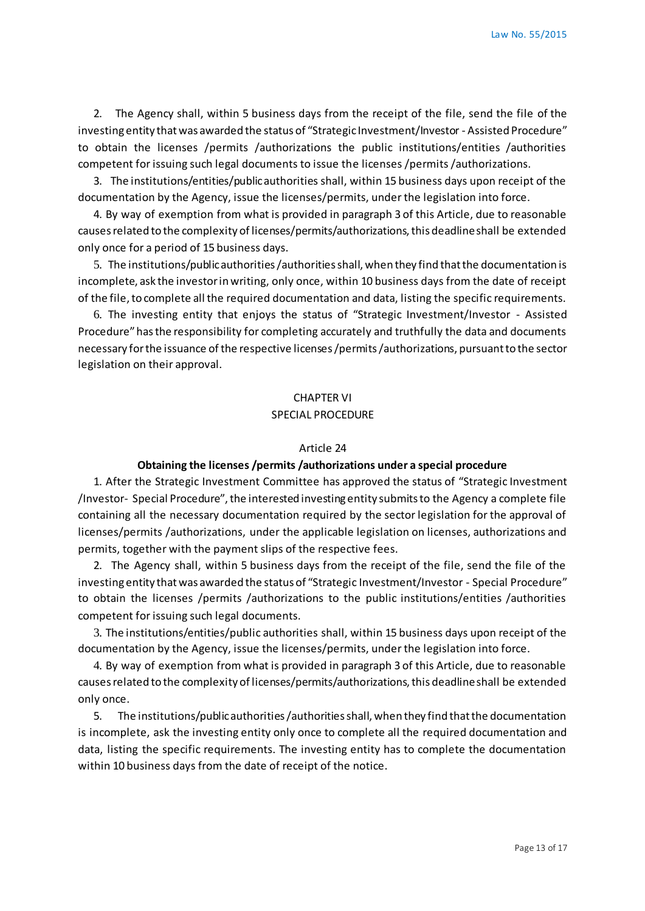2. The Agency shall, within 5 business days from the receipt of the file, send the file of the investing entity that was awarded the status of "Strategic Investment/Investor - Assisted Procedure" to obtain the licenses /permits /authorizations the public institutions/entities /authorities competent for issuing such legal documents to issue the licenses /permits /authorizations.

3. The institutions/entities/public authorities shall, within 15 business days upon receipt of the documentation by the Agency, issue the licenses/permits, under the legislation into force.

4. By way of exemption from what is provided in paragraph 3 of this Article, due to reasonable causes related to the complexity of licenses/permits/authorizations, this deadline shall be extended only once for a period of 15 business days.

5. The institutions/public authorities /authorities shall, when they find that the documentation is incomplete, ask the investor in writing, only once, within 10 business days from the date of receipt of the file, to complete all the required documentation and data, listing the specific requirements.

6. The investing entity that enjoys the status of "Strategic Investment/Investor - Assisted Procedure" has the responsibility for completing accurately and truthfully the data and documents necessary for the issuance of the respective licenses /permits /authorizations, pursuant to the sector legislation on their approval.

# CHAPTER VI SPECIAL PROCEDURE

### Article 24

# **Obtaining the licenses /permits /authorizations under a special procedure**

1. After the Strategic Investment Committee has approved the status of "Strategic Investment /Investor- Special Procedure", the interested investing entity submits to the Agency a complete file containing all the necessary documentation required by the sector legislation for the approval of licenses/permits /authorizations, under the applicable legislation on licenses, authorizations and permits, together with the payment slips of the respective fees.

2. The Agency shall, within 5 business days from the receipt of the file, send the file of the investing entity that was awarded the status of "Strategic Investment/Investor - Special Procedure" to obtain the licenses /permits /authorizations to the public institutions/entities /authorities competent for issuing such legal documents.

3. The institutions/entities/public authorities shall, within 15 business days upon receipt of the documentation by the Agency, issue the licenses/permits, under the legislation into force.

4. By way of exemption from what is provided in paragraph 3 of this Article, due to reasonable causes related to the complexity of licenses/permits/authorizations, this deadline shall be extended only once.

5. The institutions/public authorities /authorities shall, when they find that the documentation is incomplete, ask the investing entity only once to complete all the required documentation and data, listing the specific requirements. The investing entity has to complete the documentation within 10 business days from the date of receipt of the notice.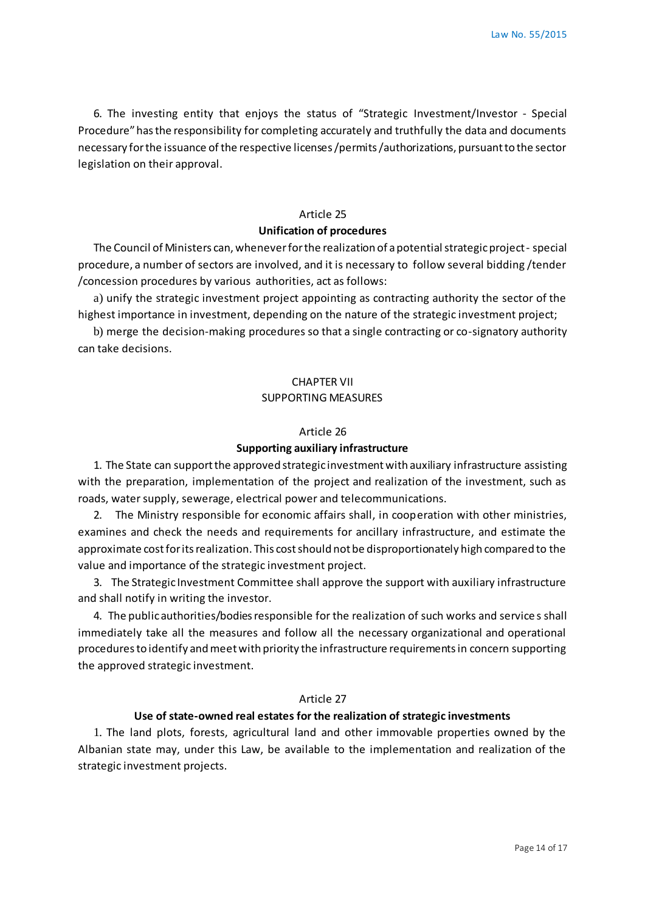6. The investing entity that enjoys the status of "Strategic Investment/Investor - Special Procedure" has the responsibility for completing accurately and truthfully the data and documents necessary for the issuance of the respective licenses /permits /authorizations, pursuant to the sector legislation on their approval.

## Article 25

## **Unification of procedures**

The Council of Ministers can, whenever for the realization of a potential strategic project- special procedure, a number of sectors are involved, and it is necessary to follow several bidding /tender /concession procedures by various authorities, act as follows:

a) unify the strategic investment project appointing as contracting authority the sector of the highest importance in investment, depending on the nature of the strategic investment project;

b) merge the decision-making procedures so that a single contracting or co-signatory authority can take decisions.

# CHAPTER VII SUPPORTING MEASURES

## Article 26

### **Supporting auxiliary infrastructure**

1. The State can support the approved strategic investment with auxiliary infrastructure assisting with the preparation, implementation of the project and realization of the investment, such as roads, water supply, sewerage, electrical power and telecommunications.

2. The Ministry responsible for economic affairs shall, in cooperation with other ministries, examines and check the needs and requirements for ancillary infrastructure, and estimate the approximate cost for its realization. This cost should not be disproportionately high compared to the value and importance of the strategic investment project.

3. The Strategic Investment Committee shall approve the support with auxiliary infrastructure and shall notify in writing the investor.

4. The public authorities/bodies responsible for the realization of such works and service s shall immediately take all the measures and follow all the necessary organizational and operational procedures to identify and meet with priority the infrastructure requirements in concern supporting the approved strategic investment.

#### Article 27

#### **Use of state-owned real estates for the realization of strategic investments**

1. The land plots, forests, agricultural land and other immovable properties owned by the Albanian state may, under this Law, be available to the implementation and realization of the strategic investment projects.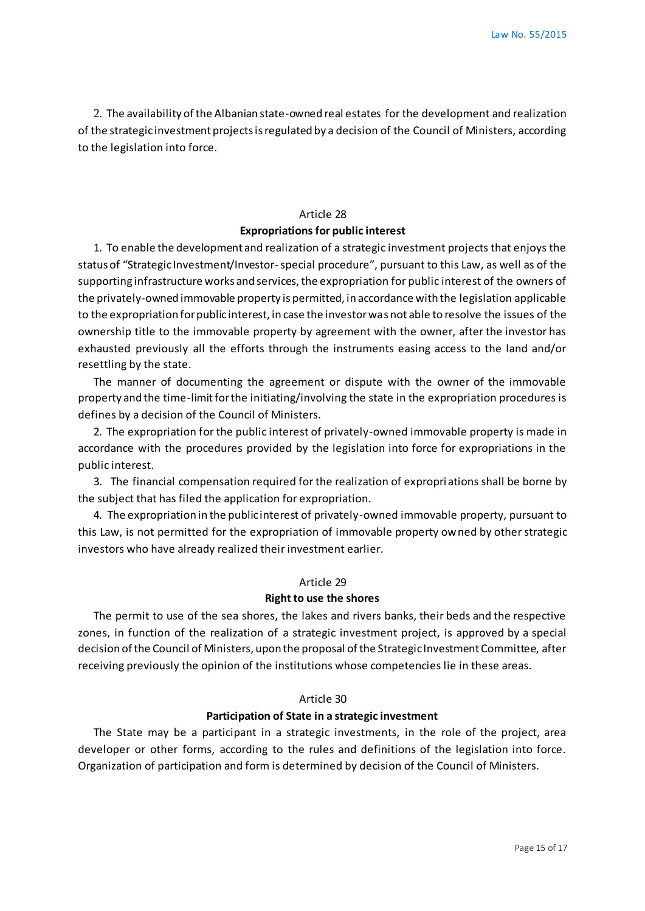2. The availability of the Albanian state-owned real estates for the development and realization of the strategic investment projects is regulated by a decision of the Council of Ministers, according to the legislation into force.

# Article 28 **Expropriations for public interest**

1. To enable the development and realization of a strategic investment projects that enjoys the status of "Strategic Investment/Investor-special procedure", pursuant to this Law, as well as of the supporting infrastructure works and services, the expropriation for public interest of the owners of the privately-owned immovable property is permitted, in accordance with the legislation applicable to the expropriation for public interest, in case the investor was not able to resolve the issues of the ownership title to the immovable property by agreement with the owner, after the investor has exhausted previously all the efforts through the instruments easing access to the land and/or resettling by the state.

The manner of documenting the agreement or dispute with the owner of the immovable property and the time-limit for the initiating/involving the state in the expropriation procedures is defines by a decision of the Council of Ministers.

2. The expropriation for the public interest of privately-owned immovable property is made in accordance with the procedures provided by the legislation into force for expropriations in the public interest.

3. The financial compensation required for the realization of expropri ations shall be borne by the subject that has filed the application for expropriation.

4. The expropriation in the public interest of privately-owned immovable property, pursuant to this Law, is not permitted for the expropriation of immovable property owned by other strategic investors who have already realized their investment earlier.

### Article 29

### **Right to use the shores**

The permit to use of the sea shores, the lakes and rivers banks, their beds and the respective zones, in function of the realization of a strategic investment project, is approved by a special decision of the Council of Ministers, upon the proposal of the Strategic Investment Committee, after receiving previously the opinion of the institutions whose competencies lie in these areas.

### Article 30

#### **Participation of State in a strategic investment**

The State may be a participant in a strategic investments, in the role of the project, area developer or other forms, according to the rules and definitions of the legislation into force. Organization of participation and form is determined by decision of the Council of Ministers.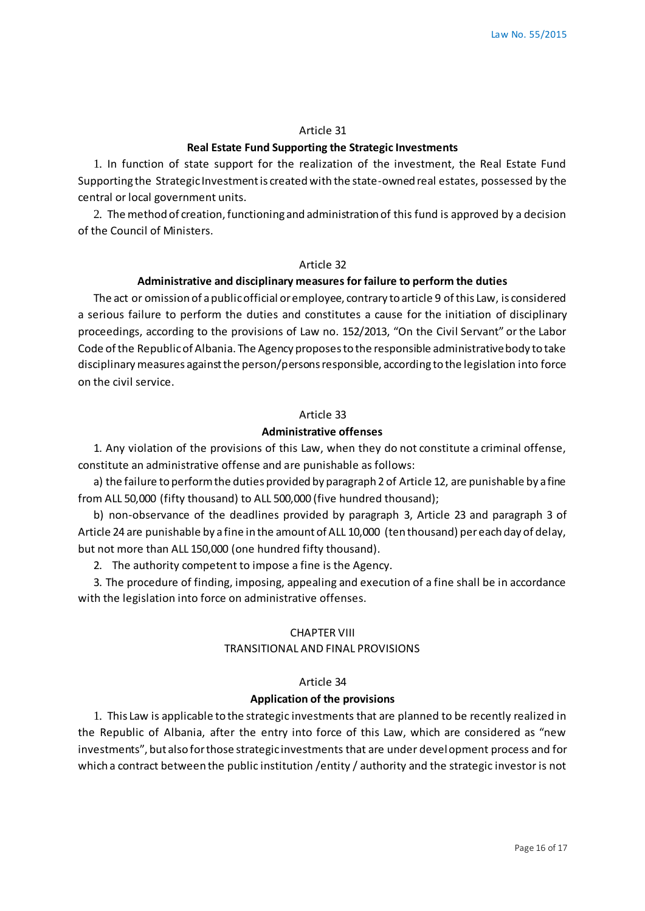#### Article 31

## **Real Estate Fund Supporting the Strategic Investments**

1. In function of state support for the realization of the investment, the Real Estate Fund Supporting the Strategic Investment is created with the state-owned real estates, possessed by the central or local government units.

2. The method of creation, functioning and administration of this fund is approved by a decision of the Council of Ministers.

#### Article 32

## **Administrative and disciplinary measures for failure to perform the duties**

The act or omission of a public official or employee, contrary to article 9 of this Law, is considered a serious failure to perform the duties and constitutes a cause for the initiation of disciplinary proceedings, according to the provisions of Law no. 152/2013, "On the Civil Servant" or the Labor Code of the Republic of Albania. The Agency proposes to the responsible administrative body to take disciplinary measures against the person/persons responsible, according to the legislation into force on the civil service.

#### Article 33

## **Administrative offenses**

1. Any violation of the provisions of this Law, when they do not constitute a criminal offense, constitute an administrative offense and are punishable as follows:

a) the failure to perform the duties provided by paragraph 2 of Article 12, are punishable by a fine from ALL 50,000 (fifty thousand) to ALL 500,000 (five hundred thousand);

b) non-observance of the deadlines provided by paragraph 3, Article 23 and paragraph 3 of Article 24 are punishable by a fine in the amount of ALL 10,000 (ten thousand) per each day of delay, but not more than ALL 150,000 (one hundred fifty thousand).

2. The authority competent to impose a fine is the Agency.

3. The procedure of finding, imposing, appealing and execution of a fine shall be in accordance with the legislation into force on administrative offenses.

## CHAPTER VIII

## TRANSITIONAL AND FINAL PROVISIONS

#### Article 34

#### **Application of the provisions**

1. This Law is applicable to the strategic investments that are planned to be recently realized in the Republic of Albania, after the entry into force of this Law, which are considered as "new investments", but also for those strategic investments that are under development process and for which a contract between the public institution /entity / authority and the strategic investor is not